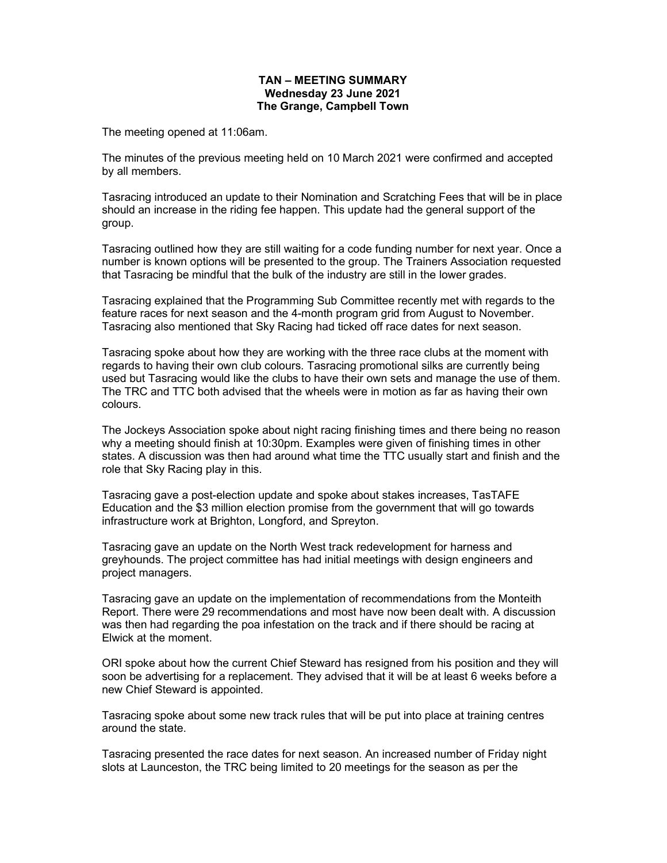## TAN – MEETING SUMMARY Wednesday 23 June 2021 The Grange, Campbell Town

The meeting opened at 11:06am.

The minutes of the previous meeting held on 10 March 2021 were confirmed and accepted by all members.

Tasracing introduced an update to their Nomination and Scratching Fees that will be in place should an increase in the riding fee happen. This update had the general support of the group.

Tasracing outlined how they are still waiting for a code funding number for next year. Once a number is known options will be presented to the group. The Trainers Association requested that Tasracing be mindful that the bulk of the industry are still in the lower grades.

Tasracing explained that the Programming Sub Committee recently met with regards to the feature races for next season and the 4-month program grid from August to November. Tasracing also mentioned that Sky Racing had ticked off race dates for next season.

Tasracing spoke about how they are working with the three race clubs at the moment with regards to having their own club colours. Tasracing promotional silks are currently being used but Tasracing would like the clubs to have their own sets and manage the use of them. The TRC and TTC both advised that the wheels were in motion as far as having their own colours.

The Jockeys Association spoke about night racing finishing times and there being no reason why a meeting should finish at 10:30pm. Examples were given of finishing times in other states. A discussion was then had around what time the TTC usually start and finish and the role that Sky Racing play in this.

Tasracing gave a post-election update and spoke about stakes increases, TasTAFE Education and the \$3 million election promise from the government that will go towards infrastructure work at Brighton, Longford, and Spreyton.

Tasracing gave an update on the North West track redevelopment for harness and greyhounds. The project committee has had initial meetings with design engineers and project managers.

Tasracing gave an update on the implementation of recommendations from the Monteith Report. There were 29 recommendations and most have now been dealt with. A discussion was then had regarding the poa infestation on the track and if there should be racing at Elwick at the moment.

ORI spoke about how the current Chief Steward has resigned from his position and they will soon be advertising for a replacement. They advised that it will be at least 6 weeks before a new Chief Steward is appointed.

Tasracing spoke about some new track rules that will be put into place at training centres around the state.

Tasracing presented the race dates for next season. An increased number of Friday night slots at Launceston, the TRC being limited to 20 meetings for the season as per the